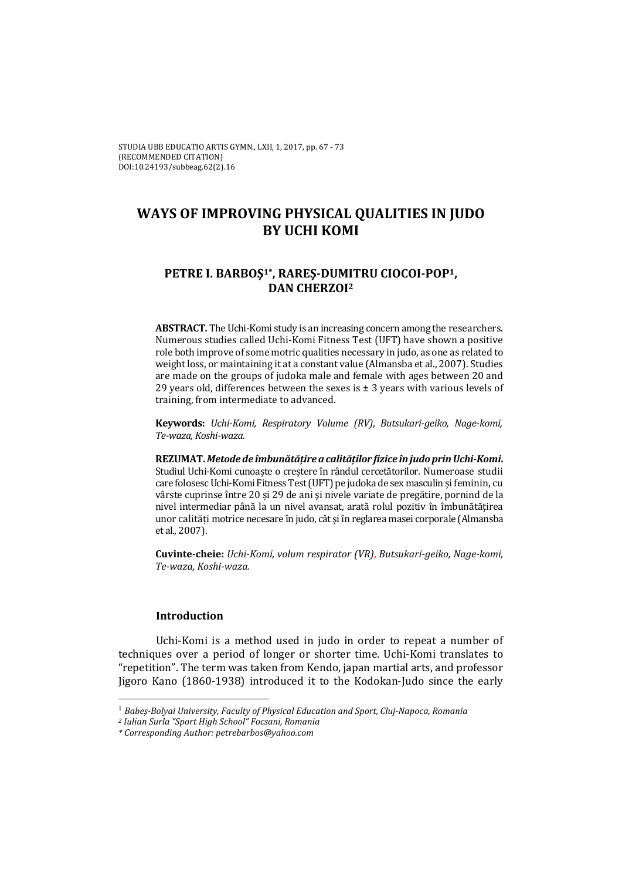# **WAYS OF IMPROVING PHYSICAL QUALITIES IN JUDO BY UCHI KOMI**

# **PETRE I. BARBOŞ1\*, RAREŞ‐DUMITRU CIOCOI‐POP1, DAN CHERZOI2**

**ABSTRACT.** The Uchi-Komi study is an increasing concern among the researchers. Numerous studies called Uchi-Komi Fitness Test (UFT) have shown a positive role both improve of some motric qualities necessary in judo, as one as related to weight loss, or maintaining it at a constant value (Almansba et al., 2007). Studies are made on the groups of judoka male and female with ages between 20 and 29 years old, differences between the sexes is  $\pm$  3 years with various levels of training, from intermediate to advanced.

**Keywords:** *Uchi‐Komi, Respiratory Volume (RV)*, *Butsukari‐geiko, Nage‐komi, Te‐waza, Koshi‐waza.*

**REZUMAT.** *Metode de îmbunătățire a calităților fizice în judo prinUchi‐Komi***.** Studiul Uchi-Komi cunoaște o creștere în rândul cercetătorilor. Numeroașe studii care folosesc Uchi-Komi Fitness Test (UFT) pe judoka de sex masculin și feminin, cu vârste cuprinse între 20 și 29 de ani și nivele variate de pregătire, pornind de la nivel intermediar până la un nivel avansat, arată rolul pozitiv în îmbunătățirea unor calități motrice necesare în judo, cât și în reglarea masei corporale (Almansba et al., 2007).

**Cuvinte‐cheie:** *Uchi‐Komi, volum respirator (VR)*, *Butsukari‐geiko, Nage‐komi, Te‐waza, Koshi‐waza.*

## **Introduction**

Uchi-Komi is a method used in judo in order to repeat a number of techniques over a period of longer or shorter time. Uchi-Komi translates to "repetition". The term was taken from Kendo, japan martial arts, and professor Jigoro Kano (1860-1938) introduced it to the Kodokan-Judo since the early

<sup>1</sup> *Babeş‐Bolyai University, Faculty of Physical Education and Sport, Cluj‐Napoca, Romania*

*<sup>2</sup> Iulian Surla "Sport High School" Focsani, Romania*

*<sup>\*</sup> Corresponding Author: petrebarbos@yahoo.com*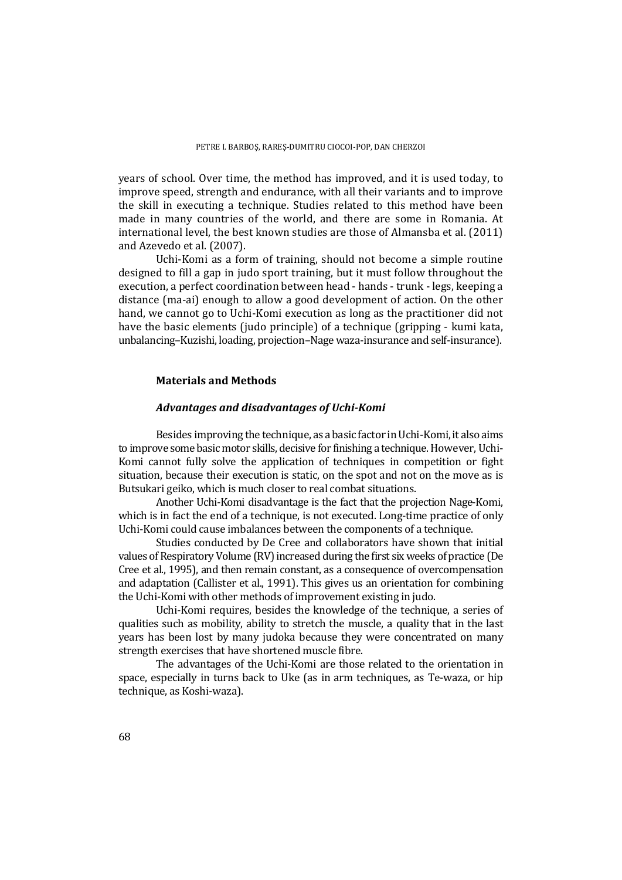years of school. Over time, the method has improved, and it is used today, to improve speed, strength and endurance, with all their variants and to improve the skill in executing a technique. Studies related to this method have been made in many countries of the world, and there are some in Romania. At international level, the best known studies are those of Almansba et al.  $(2011)$ and Azevedo et al. (2007).

Uchi-Komi as a form of training, should not become a simple routine designed to fill a gap in judo sport training, but it must follow throughout the execution, a perfect coordination between head - hands - trunk - legs, keeping a distance (ma-ai) enough to allow a good development of action. On the other hand, we cannot go to Uchi-Komi execution as long as the practitioner did not have the basic elements (judo principle) of a technique (gripping - kumi kata, unbalancing–Kuzishi, loading, projection–Nage waza-insurance and self-insurance).

#### **Materials and Methods**

#### *Advantages and disadvantages of Uchi‐Komi*

Besides improving the technique, as a basic factor in Uchi-Komi, it also aims to improve some basic motor skills, decisive for finishing a technique. However, Uchi-Komi cannot fully solve the application of techniques in competition or fight situation, because their execution is static, on the spot and not on the move as is Butsukari geiko, which is much closer to real combat situations.

Another Uchi-Komi disadvantage is the fact that the projection Nage-Komi, which is in fact the end of a technique, is not executed. Long-time practice of only Uchi-Komi could cause imbalances between the components of a technique.

Studies conducted by De Cree and collaborators have shown that initial values of Respiratory Volume (RV) increased during the first six weeks of practice (De Cree et al., 1995), and then remain constant, as a consequence of overcompensation and adaptation (Callister et al., 1991). This gives us an orientation for combining the Uchi-Komi with other methods of improvement existing in judo.

Uchi-Komi requires, besides the knowledge of the technique, a series of qualities such as mobility, ability to stretch the muscle, a quality that in the last years has been lost by many judoka because they were concentrated on many strength exercises that have shortened muscle fibre.

The advantages of the Uchi-Komi are those related to the orientation in space, especially in turns back to Uke (as in arm techniques, as Te-waza, or hip technique, as Koshi-waza).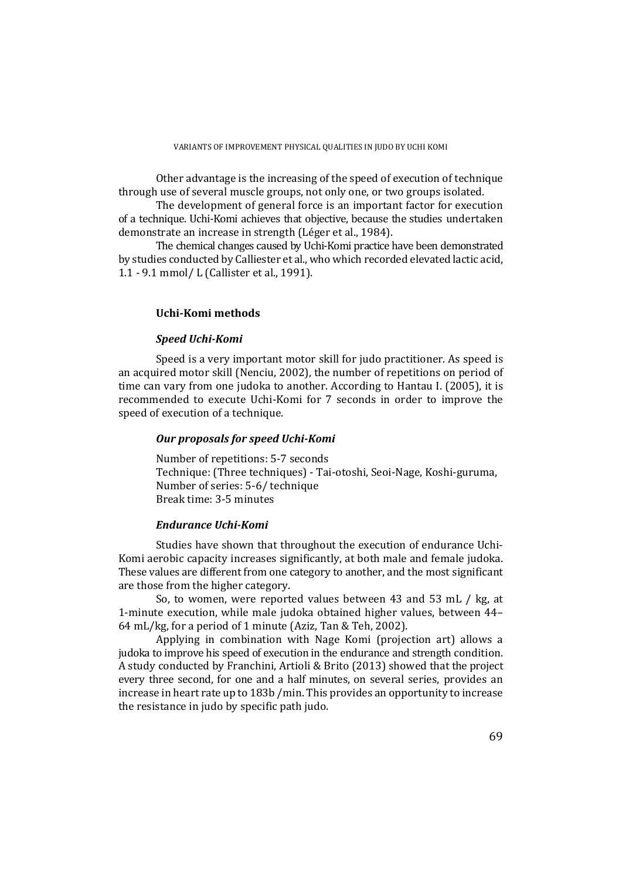Other advantage is the increasing of the speed of execution of technique through use of several muscle groups, not only one, or two groups isolated.

The development of general force is an important factor for execution of a technique. Uchi-Komi achieves that objective, because the studies undertaken demonstrate an increase in strength (Léger et al., 1984).

The chemical changes caused by Uchi-Komi practice have been demonstrated by studies conducted by Calliester et al., who which recorded elevated lactic acid, 1.1 - 9.1 mmol/ L (Callister et al., 1991).

#### **Uchi‐Komi methods**

## *Speed Uchi‐Komi*

Speed is a very important motor skill for judo practitioner. As speed is an acquired motor skill (Nenciu, 2002), the number of repetitions on period of time can vary from one judoka to another. According to Hantau I. (2005), it is recommended to execute Uchi-Komi for 7 seconds in order to improve the speed of execution of a technique.

## *Our proposals for speed Uchi‐Komi*

Number of repetitions: 5-7 seconds Technique: (Three techniques) - Tai-otoshi, Seoi-Nage, Koshi-guruma, Number of series: 5-6/ technique Break time: 3‐5 minutes 

## *Endurance Uchi‐Komi*

Studies have shown that throughout the execution of endurance Uchi-Komi aerobic capacity increases significantly, at both male and female judoka. These values are different from one category to another, and the most significant are those from the higher category.

So, to women, were reported values between  $43$  and  $53$  mL  $/$  kg, at 1-minute execution, while male judoka obtained higher values, between 44– 64 mL/kg, for a period of 1 minute (Aziz, Tan & Teh, 2002).

Applying in combination with Nage Komi (projection art) allows a judoka to improve his speed of execution in the endurance and strength condition. A study conducted by Franchini, Artioli & Brito (2013) showed that the project every three second, for one and a half minutes, on several series, provides an increase in heart rate up to  $183b$  /min. This provides an opportunity to increase the resistance in judo by specific path judo.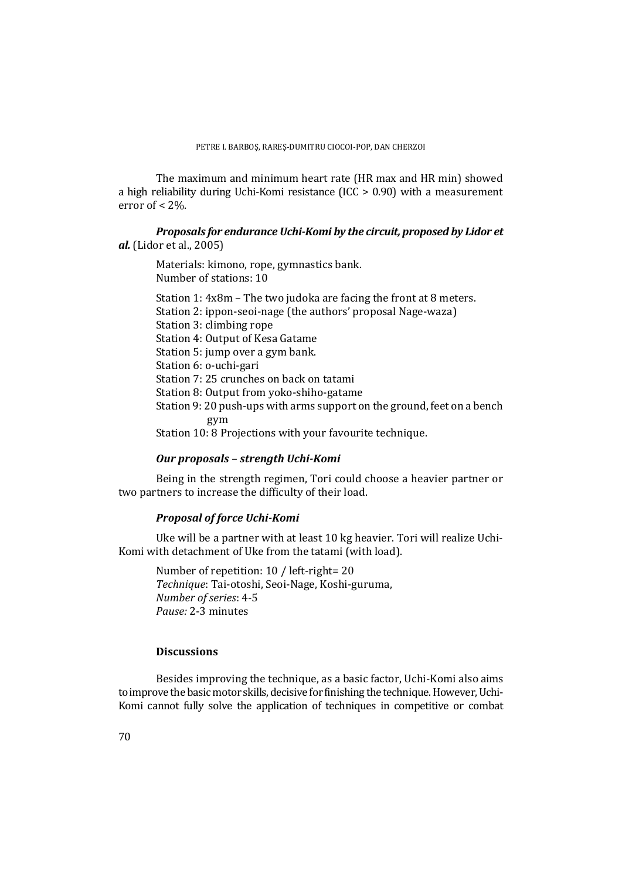The maximum and minimum heart rate (HR max and HR min) showed a high reliability during Uchi-Komi resistance  $(ICC > 0.90)$  with a measurement error of  $< 2\%$ .

*Proposals for endurance Uchi‐Komi by the circuit, proposed by Lidor et al.* (Lidor et al., 2005)

Materials: kimono, rope, gymnastics bank. Number of stations: 10

Station 1:  $4x8m$  – The two judoka are facing the front at 8 meters. Station 2: ippon-seoi-nage (the authors' proposal Nage-waza) Station 3: climbing rope Station 4: Output of Kesa Gatame Station 5: jump over a gym bank. Station 6: o-uchi-gari Station 7: 25 crunches on back on tatami Station 8: Output from yoko-shiho-gatame Station 9: 20 push-ups with arms support on the ground, feet on a bench gym Station 10: 8 Projections with your favourite technique.

## *Our proposals – strength Uchi‐Komi*

Being in the strength regimen, Tori could choose a heavier partner or two partners to increase the difficulty of their load.

## *Proposal of force Uchi‐Komi*

Uke will be a partner with at least 10 kg heavier. Tori will realize Uchi-Komi with detachment of Uke from the tatami (with load).

Number of repetition: 10 / left-right= 20 *Technique*: Tai‐otoshi, Seoi‐Nage, Koshi‐guruma, *Number of series*: 4‐5 *Pause:* 2‐3 minutes 

## **Discussions**

Besides improving the technique, as a basic factor, Uchi-Komi also aims to improve the basic motor skills, decisive for finishing the technique. However, Uchi-Komi cannot fully solve the application of techniques in competitive or combat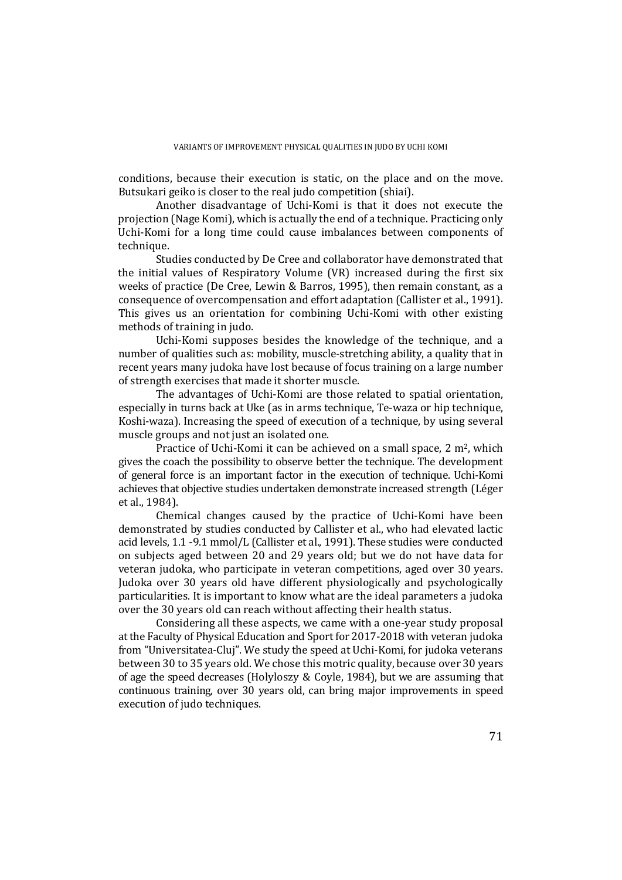conditions, because their execution is static, on the place and on the move. Butsukari geiko is closer to the real judo competition (shiai).

Another disadvantage of Uchi-Komi is that it does not execute the projection (Nage Komi), which is actually the end of a technique. Practicing only Uchi-Komi for a long time could cause imbalances between components of technique.

Studies conducted by De Cree and collaborator have demonstrated that the initial values of Respiratory Volume  $(VR)$  increased during the first six weeks of practice (De Cree, Lewin & Barros, 1995), then remain constant, as a consequence of overcompensation and effort adaptation (Callister et al., 1991). This gives us an orientation for combining Uchi–Komi with other existing methods of training in judo.

Uchi-Komi supposes besides the knowledge of the technique, and a number of qualities such as: mobility, muscle-stretching ability, a quality that in recent years many judoka have lost because of focus training on a large number of strength exercises that made it shorter muscle.

The advantages of Uchi-Komi are those related to spatial orientation, especially in turns back at Uke (as in arms technique, Te-waza or hip technique, Koshi-waza). Increasing the speed of execution of a technique, by using several muscle groups and not just an isolated one.

Practice of Uchi-Komi it can be achieved on a small space,  $2 \text{ m}^2$ , which gives the coach the possibility to observe better the technique. The development of general force is an important factor in the execution of technique. Uchi–Komi achieves that objective studies undertaken demonstrate increased strength (Léger et al., 1984).

Chemical changes caused by the practice of Uchi-Komi have been demonstrated by studies conducted by Callister et al., who had elevated lactic acid levels,  $1.1 - 9.1$  mmol/L (Callister et al., 1991). These studies were conducted on subjects aged between 20 and 29 years old; but we do not have data for veteran judoka, who participate in veteran competitions, aged over 30 years. Judoka over 30 years old have different physiologically and psychologically particularities. It is important to know what are the ideal parameters a judoka over the 30 years old can reach without affecting their health status.

Considering all these aspects, we came with a one-year study proposal at the Faculty of Physical Education and Sport for 2017-2018 with veteran judoka from "Universitatea-Cluj". We study the speed at Uchi-Komi, for judoka veterans between 30 to 35 years old. We chose this motric quality, because over 30 years of age the speed decreases (Holyloszy & Coyle, 1984), but we are assuming that continuous training, over 30 years old, can bring major improvements in speed execution of judo techniques.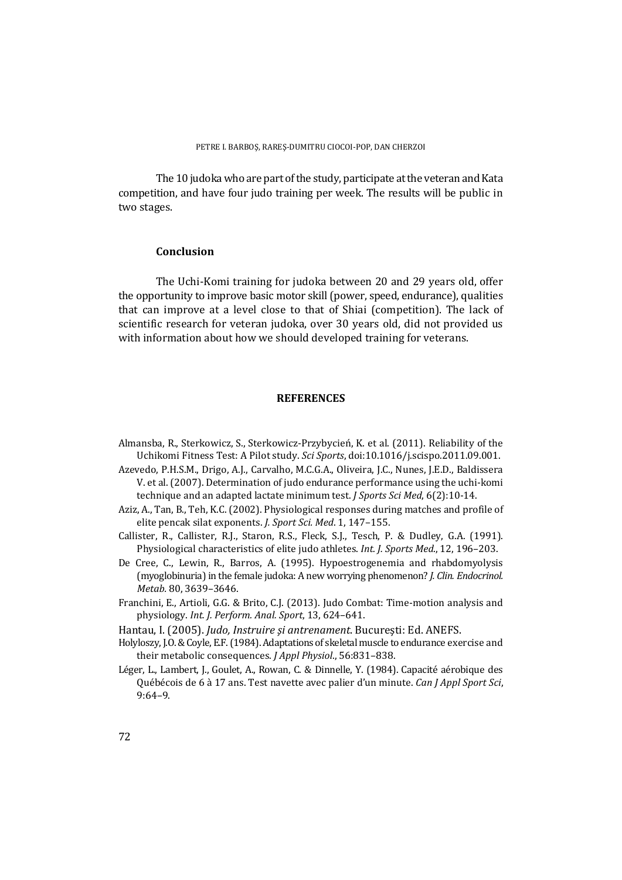The 10 judoka who are part of the study, participate at the veteran and Kata competition, and have four judo training per week. The results will be public in two stages.

#### **Conclusion**

The Uchi-Komi training for judoka between 20 and 29 years old, offer the opportunity to improve basic motor skill (power, speed, endurance), qualities that can improve at a level close to that of Shiai (competition). The lack of scientific research for veteran judoka, over 30 years old, did not provided us with information about how we should developed training for veterans.

#### **REFERENCES**

- Almansba, R., Sterkowicz, S., Sterkowicz-Przybycień, K. et al. (2011). Reliability of the Uchikomi Fitness Test: A Pilot study. *Sci Sports*, doi:10.1016/j.scispo.2011.09.001.
- Azevedo, P.H.S.M., Drigo, A.J., Carvalho, M.C.G.A., Oliveira, J.C., Nunes, J.E.D., Baldissera V. et al. (2007). Determination of judo endurance performance using the uchi-komi technique and an adapted lactate minimum test. *J Sports Sci Med*, 6(2):10-14.
- Aziz, A., Tan, B., Teh, K.C. (2002). Physiological responses during matches and profile of elite pencak silat exponents. *J. Sport Sci. Med.* 1, 147-155.
- Callister, R., Callister, R.J., Staron, R.S., Fleck, S.J., Tesch, P. & Dudley, G.A. (1991). Physiological characteristics of elite judo athletes. Int. J. Sports Med., 12, 196-203.
- De Cree, C., Lewin, R., Barros, A. (1995). Hypoestrogenemia and rhabdomyolysis (myoglobinuria) in the female judoka: A new worrying phenomenon? *J. Clin. Endocrinol. Metab.* 80, 3639–3646.
- Franchini, E., Artioli, G.G. & Brito, C.J. (2013). Judo Combat: Time-motion analysis and physiology. *Int. J. Perform. Anal. Sport*, 13, 624–641.
- Hantau, I. (2005). *Judo, Instruire şi antrenament*. Bucureşti: Ed. ANEFS.
- Holyloszy, J.O. & Coyle, E.F. (1984). Adaptations of skeletal muscle to endurance exercise and their metabolic consequences. *J Appl Physiol.*, 56:831-838.
- Léger, L., Lambert, J., Goulet, A., Rowan, C. & Dinnelle, Y. (1984). Capacité aérobique des Québécois de 6 à 17 ans. Test navette avec palier d'un minute. *Can J Appl Sport Sci*, 9:64–9.